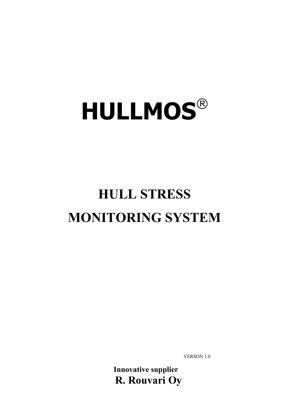# **HULLMOS**

# **HULL STRESS MONITORING SYSTEM**

VERSON 1.0

**Innovative supplier R. Rouvari Oy**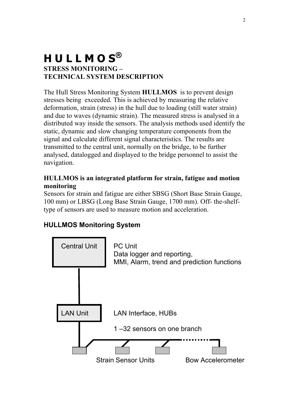### **H U L L M O S® STRESS MONITORING – TECHNICAL SYSTEM DESCRIPTION**

The Hull Stress Monitoring System **HULLMOS** is to prevent design stresses being exceeded. This is achieved by measuring the relative deformation, strain (stress) in the hull due to loading (still water strain) and due to waves (dynamic strain). The measured stress is analysed in a distributed way inside the sensors. The analysis methods used identify the static, dynamic and slow changing temperature components from the signal and calculate different signal characteristics. The results are transmitted to the central unit, normally on the bridge, to be further analysed, datalogged and displayed to the bridge personnel to assist the navigation.

#### **HULLMOS is an integrated platform for strain, fatigue and motion monitoring**

Sensors for strain and fatigue are either SBSG (Short Base Strain Gauge, 100 mm) or LBSG (Long Base Strain Gauge, 1700 mm). Off- the-shelftype of sensors are used to measure motion and acceleration.

#### **HULLMOS Monitoring System**

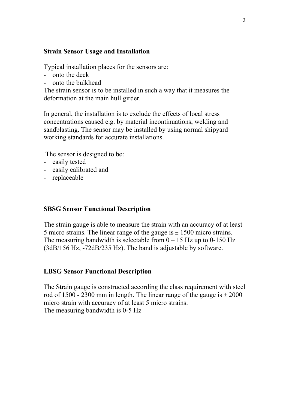#### **Strain Sensor Usage and Installation**

Typical installation places for the sensors are:

- onto the deck
- onto the bulkhead

The strain sensor is to be installed in such a way that it measures the deformation at the main hull girder.

In general, the installation is to exclude the effects of local stress concentrations caused e.g. by material incontinuations, welding and sandblasting. The sensor may be installed by using normal shipyard working standards for accurate installations.

The sensor is designed to be:

- easily tested
- easily calibrated and
- replaceable

#### **SBSG Sensor Functional Description**

The strain gauge is able to measure the strain with an accuracy of at least 5 micro strains. The linear range of the gauge is  $\pm$  1500 micro strains. The measuring bandwidth is selectable from  $0 - 15$  Hz up to 0-150 Hz (3dB/156 Hz, -72dB/235 Hz). The band is adjustable by software.

#### **LBSG Sensor Functional Description**

The Strain gauge is constructed according the class requirement with steel rod of 1500 - 2300 mm in length. The linear range of the gauge is  $\pm 2000$ micro strain with accuracy of at least 5 micro strains. The measuring bandwidth is 0-5 Hz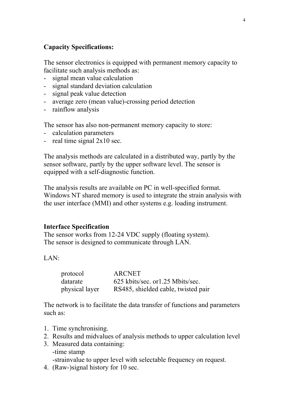#### **Capacity Specifications:**

The sensor electronics is equipped with permanent memory capacity to facilitate such analysis methods as:

- signal mean value calculation
- signal standard deviation calculation
- signal peak value detection
- average zero (mean value)-crossing period detection
- rainflow analysis

The sensor has also non-permanent memory capacity to store:

- calculation parameters
- real time signal  $2x10$  sec.

The analysis methods are calculated in a distributed way, partly by the sensor software, partly by the upper software level. The sensor is equipped with a self-diagnostic function.

The analysis results are available on PC in well-specified format. Windows NT shared memory is used to integrate the strain analysis with the user interface (MMI) and other systems e.g. loading instrument.

#### **Interface Specification**

The sensor works from 12-24 VDC supply (floating system). The sensor is designed to communicate through LAN.

LAN:

| protocol       | <b>ARCNET</b>                       |
|----------------|-------------------------------------|
| datarate       | 625 kbits/sec. or 1.25 Mbits/sec.   |
| physical layer | RS485, shielded cable, twisted pair |

The network is to facilitate the data transfer of functions and parameters such as:

- 1. Time synchronising.
- 2. Results and midvalues of analysis methods to upper calculation level
- 3. Measured data containing: -time stamp -strainvalue to upper level with selectable frequency on request.
- 4. (Raw-)signal history for 10 sec.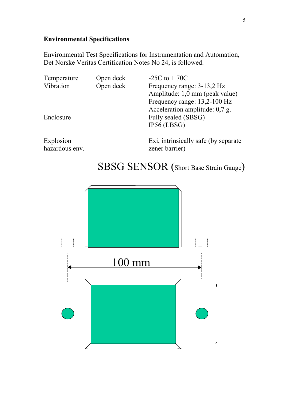#### **Environmental Specifications**

Environmental Test Specifications for Instrumentation and Automation, Det Norske Veritas Certification Notes No 24, is followed.

| Open deck | $-25C$ to $+70C$                 |
|-----------|----------------------------------|
| Open deck | Frequency range: 3-13,2 Hz       |
|           | Amplitude: 1,0 mm (peak value)   |
|           | Frequency range: 13,2-100 Hz     |
|           | Acceleration amplitude: $0.7$ g. |
|           | Fully sealed (SBSG)              |
|           | $IP56$ (LBSG)                    |
|           |                                  |
|           |                                  |

hazardous env. zener barrier)

Explosion Exi, intrinsically safe (by separate

# SBSG SENSOR (Short Base Strain Gauge)

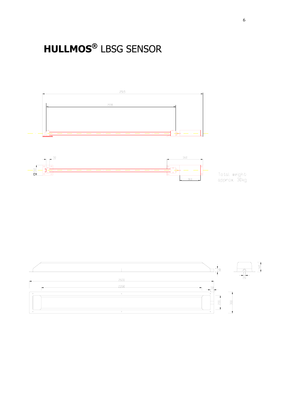# **HULLMOS®** LBSG SENSOR